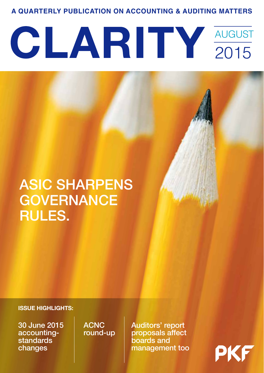**A QUARTERLY PUBLICATION ON ACCOUNTING & AUDITING MATTERS**

# CLARITY AUGUST 2015

# ASIC SHARPENS **GOVERNANCE** RULES.

#### **ISSUE HIGHLIGHTS:**

30 June 2015 accountingstandards changes

**ACNC** round-up Auditors' report proposals affect boards and management too

PK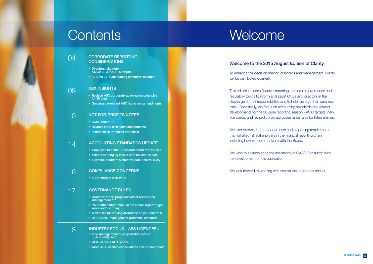#### Welcome to the 2015 August Edition of Clarity.

To enhance the decision making of boards and management, Clarity will be distributed quarterly.

This edition includes financial reporting, corporate governance and regulatory topics to inform and assist CFOs and directors in the discharge of their responsibilities and to help manage their business risks. Specifically, we focus on accounting standards and related developments for the 30 June reporting season - ASIC targets, new standards, and revised corporate governance rules for listed entities.

We also reviewed the proposed new audit reporting requirements that will affect all stakeholders in the financial reporting chain including how we communicate with the Board.

#### 04 CORPORATE REPORTING **CONSIDERATIONS**

We wish to acknowledge the assistance of GAAP Consulting with the development of this publication.

We look forward to working with you on the challenges ahead.



08

14

- Directors take note ASIC's 30 June 2015 targets
- 30 June 2015 accounting standards changes

# Contents Welcome

#### ASX INSIGHTS

- Revised ASX corporate-governance principles for 30 June
- Governance-related ASX listing rule amendments

- ACNC round-up
- Related-party disclosure amendments
- Income of NFP entities proposals

#### ACCOUNTING STANDARDS UPDATE

- Employee benefits corporate bond rate applies
- Effects of bringing leases onto balance sheets
- Revenue-standard's effective date deferral likely

#### NOT-FOR-PROFITS NOTES 10

#### INDUSTRY FOCUS – AFS LICENCEEs

- Risk management by responsible entities – ASIC enquires
- ASIC cancels AFS licence
- More ASIC licence cancellations and enforcements

#### GOVERNANCE RULES 17

- Auditors' report proposals affect boards and management too
- Your 'other information' in the annual report to get more audit scrutiny
- New rules for proving assurance on your controls
- APRA's risk-management prudential standard

#### COMPLIANCE CONCERNS 16

• CEO charged with fraud

### 18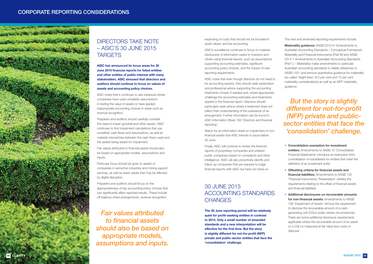**ASIC has announced its focus areas for 30 June 2015 financial reports for listed entities and other entities of public interest with many stakeholders. ASIC stressed that directors and auditors should continue to focus on values of assets and accounting policy choices.**

ASIC noted that it continues to see instances where companies have used unrealistic assumptions in testing the value of assets or have applied inappropriate accounting choices in areas such as revenue recognition.

Preparers and auditors should carefully consider the need to impair goodwill and other assets. ASIC continues to find impairment calculations that use unrealistic cash flows and assumptions, as well as material mismatches between the cash flows used and the assets being tested for impairment.

Fair values attributed to financial assets should also be based on appropriate models, assumptions and inputs.

Particular focus should be given to assets of companies in extractive industries and mining support services, as well as asset values that may be affected by digital disruption.

Preparers and auditors should focus on the appropriateness of key accounting policy choices that can significantly affect reported results. These include off-balance sheet arrangements, revenue recognition,

### 30 JUNE 2015 ACCOUNTING STANDARDS **CHANGES**

expensing of costs that should not be included in asset values, and tax accounting.

ASIC's surveillance continues to focus on material disclosures of information useful to investors and others using financial reports, such as assumptions supporting accounting estimates, significant accounting policy choices, and the impact of new reporting requirements.

ASIC notes that even though directors do not need to be accounting experts, they should seek explanation and professional advice supporting the accounting treatments chosen if needed and, where appropriate, challenge the accounting estimates and treatments applied in the financial report. Directors should particularly seek advice where a treatment does not reflect their understanding of the substance of an arrangement. Further information can be found in ASIC Information Sheet 183 'Directors and financial reporting'.

Watch for an information sheet on impairment of nonfinancial assets that ASIC intends to issue before 30 June.

Finally, ASIC will continue to review the financial reports of proprietary companies and unlisted public companies based on complaints and other intelligence. ASIC will also proactively identify and follow up companies that are required to lodge financial reports with ASIC but have not done so.

**The 30 June reporting period will be relatively quiet for profit-seeking entities in contrast to 2014. Only a small number of amended standards and a new interpretation will be effective for the first time. But the story is slightly different for not-for-profit (NFP) private and public-sector entities that face the 'consolidation' challenge.**

*Fair values attributed to financial assets should also be based on appropriate models, assumptions and inputs.*

*But the story is slightly different for not-for-profit (NFP) private and publicsector entities that face the 'consolidation' challenge.*



### DIRECTORS TAKE NOTE – ASIC'S 30 JUNE 2015 **TARGETS**

The new and amended reporting requirements include:

**Materiality guidance:** AASB 2013-9 'Amendments to Australian Accounting Standards – Conceptual Framework, Materiality and Financial Instruments (Part B)'and AASB 2014-1 Amendments to Australian Accounting Standards (Part C – Materiality) make amendments to particular Australian accounting standards to delete references to AASB 1031 and remove quantitative guidance for materiality (so called 'bright lines' of 5 per cent and 10 per cent materiality considerations) as well as an NFP materiality guidance

- **Consolidation exemption for investment entities:** Amendments to AASB 10 'Consolidated Financial Statements' introduce an exemption from consolidation of subsidiaries for entities that meet the definition of an investment entity
- **Offsetting criteria for financial assets and financial liabilities:** Amendments to AASB 132 'Financial Instruments: Presentation' clarifies the requirements relating to the offset of financial assets and financial liabilities
- **Additional disclosures on recoverable amounts for non-financial assets:** Amendments to AASB 136 'Impairment of Assets' remove the requirement to disclose the recoverable amount of a cashgenerating unit (CGU) under certain circumstances. There are some additional disclosure requirements applicable where the recoverable amount of an asset or a CGU is measured at fair value less costs of disposal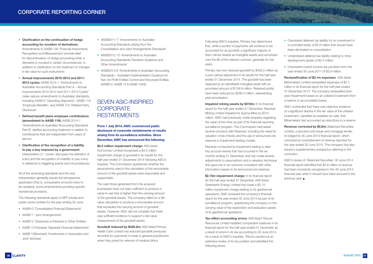- **Clarification on the continuation of hedge accounting for novation of derivatives:**  Amendments to AASB 139 'Financial Instruments: Recognition and Measurement' provide relief for discontinuation of hedge accounting when a derivative is novated in certain circumstances, in addition to clarification on the treatment of changes in fair value for such instruments
- **Annual improvements 2010-2012 and 2011- 2013 cycles:** AASB 2014-1 'Amendments to Australian Accounting Standards Part A – Annual Improvements 2010-2012 and 2011-2013 Cycles' make various amendments to Australian standards, including AASB 8 'Operating Segments', AASB 119 'Employee Benefits', and AASB 124 'Related Party Disclosure'
- **Defined benefit plans employee contributions (amendment to AASB 119):** AASB 2014-1 'Amendments to Australian Accounting Standards Part B' clarifies accounting treatment in relation to contributions that are independent from years of service
- **Clarification of the recognition of a liability to pay a levy imposed by a government**:

### SEVEN ASIC-INSPIRED **CORPORATE RESTATEMENTS**

Interpretation 21 'Levies' discusses the definition of a levy and the recognition of a liability to pay a levy in reference to triggering events and circumstances.

All of the amending standards and the new interpretation generally require full retrospective application (that is, comparative amounts have to be restated), some amendments providing specific transitional provisions.

**\$4.3 million impairment charge: ASX-listed** GoConnect Limited recognised a \$4.3 million impairment charge to goodwill in its results for the half-year ended 31 December 2014 following ASIC's inquiries. The Commission questioned whether the assumptions used in the calculation of the recoverable amount of the goodwill assets were reasonable and supportable.

The following standards apply to NFP private and public-sector entities for the year ending 30 June:

> **Goodwill reduced by \$426.2m:** ASX-listed Primary Health Care Limited has reduced goodwill previously recorded for payments it made to general practitioners when they joined its network of medical clinics.

- AASB10 'Consolidated Financial Statements'
- AASB11 'Joint Arrangements'
- AASB12 'Disclosure of Interests in Other Entities'
- AASB 127(revised) 'Separate Financial Statements'
- AASB 128(revised) 'Investments in Associates and Joint Ventures'
- AASB2011-7 'Amendments to Australian Accounting Standards arising from the Consolidation and Joint Arrangements Standards'
- AASB2012-10 'Amendments to Australian Accounting Standards-Transition Guidance and Other Amendments'
- AASB2013-8 'Amendments to Australian Accounting Standards – Australian Implementation Guidance for Not- for-Profit Entities-Control and Structured Entities (AASB10, AASB 12 & AASB 1049)'.

**Impaired mining assets by \$310m:** In its financial report for the half-year ended 31 December, Resolute Mining Limited impaired its Syama Mine by \$310 million. ASIC had previously made enquiries regarding the value of the mine as part of its financial-reporting surveillance program. The Commission had raised several concerns with Resolute, including the need for valuation cross-checks and the use of announced ore reserves in impairment-testing models.

**From 1 July 2014, ASIC commenced public disclosure of corporate restatements of results arising from its surveillance activities. Since December, ASIC has announced the following:**

The cash flows generated from the acquired businesses have not been sufficient to produce a value-in-use that is higher than the carrying amount of the goodwill assets. The company relied on a fairvalue calculation to produce a recoverable amount that exceeded the carrying amount of goodwill assets. However, ASIC did not consider that there was sufficient evidence to support a fair-value measurement of the goodwill assets.

**Revenue corrected by \$5.8m: Balanced Securities** Limited, a secured note issuer and mortgage lender, re-lodged its 30 June 2014 financial report, which corrected an overstatement of revenue reported for the year ended 30 June 2013. The company has also issued a supplementary prospectus referring to the correction.

ASIC's review of Balanced Securities' 30 June 2014 financial report identified that \$5.8 million of revenue had been incorrectly recognised in the 30 June 2013 financial year when it should have been accrued in the previous vear.

Following ASIC's inquiries, Primary has determined that, while a portion of payments will continue to be accounted for as goodwill, a significant majority of them will be treated as intangible assets and amortised over the life of the relevant contract, generally for five years.

Primary has now reduced goodwill by \$426.2 million as a prior period adjustment in its results for the half-year ended 31 December 2014. The goodwill has been replaced by an identifiable intangible asset with an amortised amount of \$139.9 million. Retained profits have been reduced by \$290.4 million, representing past amortisation.

Resolute conducted its impairment testing to take into account events that had occurred in the six months ending 31 December, and has made several adjustments to assumptions and a valuation technique that gave rise to an outcome consistent with other information based on its announced ore reserves.

**\$2.15m impairment charge:** In its financial report for the half-year ended 31 December, ASX-listed Greenearth Energy Limited has made a \$2.15 million impairment charge relating to its geothermal operations. ASIC reviewed the company's financial report for the year ended 30 June 2014 as part of its surveillance program, questioning the company on the carrying value of the exploration and evaluation assets of its geothermal operations.

**Tax-effect accounting errors:** ASX-listed Tribune Resources Limited restated comparative balances in its financial report for the half-year ended 31 December as a result of errors in its tax accounting to 30 June 2014. As a result of ASIC's inquiries, Tribune carried out an extensive review of its tax position and identified the following errors:

• Overstated deferred tax liability for an investment in a controlled entity of \$2.8 million that should have been eliminated on consolidation

**BARBARAGERAGE WARDER** 

- Understated deferred tax liability relating to mine development assets of \$2.4 million
- Overstated current income tax provision from the year ended 30 June 2011 of \$3.9 million.

**Reclassification of \$2.1m expenses**: ASX-listed Minemakers Limited reclassified expenses of \$2.1 million in its financial report for the half-year ended 31 December 2014. The company reclassified prioryear impairment losses on an unlisted investment from a reserve to accumulated losses.

ASIC contended that there was objective evidence of a significant decline in the fair value of the unlisted investment, classified as available-for-sale, that Minemakers had accounted as reductions in a reserve.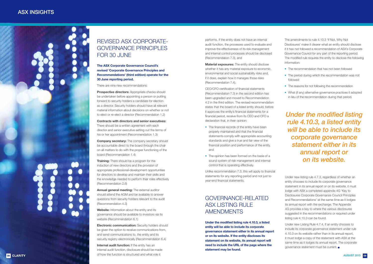## REVISED ASX CORPORATE-GOVERNANCE PRINCIPLES FOR 30 JUNE

#### **The ASX Corporate Governance Council's revised 'Corporate Governance Principles and Recommendations' (third edition) operate for the 30 June reporting period.**

There are nine new recommendations:

**Prospective directors:** Appropriate checks should be undertaken before appointing a person or putting forward to security holders a candidate for election as a director. Security holders should have all relevant material information about decisions on whether or not to elect or re-elect a director (Recommendation 1.2)

**Company secretary:** The company secretary should be accountable direct to the board through the chair on all matters to do with the proper functioning of the board (Recommendation 1.4)

**Contracts with directors and senior executives:**  There should be a written agreement with each director and senior executive setting out the terms of his or her appointment (Recommendation 1.3)

**Electronic communication:** Security holders should be given the option to receive communications from, and send communications to, the entity and its security registry electronically (Recommendation 6.4)

**Internal audit function:** If the entity has an internal audit function, disclosure should be made of how the function is structured and what role it **08 CLARITY CLARITY 2015 09** 

**Training:** There should be a program for the induction of new directors and the provision of appropriate professional-development opportunities for directors to develop and maintain their skills and the knowledge needed to perform their roles effectively (Recommendation 2.6)

**Annual general meeting:** The external auditor should attend the AGM and be available to answer questions from security holders relevant to the audit (Recommendation 4.3)

**Website:** Information about the entity and its governance should be available to investors via its website (Recommendation 6.1)

- The financial records of the entity have been properly maintained and that the financial statements comply with appropriate accounting standards and give a true and fair view of the financial position and performance of the entity, and
- The opinion has been formed on the basis of a sound system of risk management and internal control that is operating effectively.

### GOVERNANCE-RELATED ASX LISTING RULE **AMENDMENTS**

performs. If the entity does not have an internal audit function, the processes used to evaluate and improve the effectiveness of its risk management and internal control processes should be disclosed (Recommendation 7.3), and

- The recommendation that has not been followed
- The period during which the recommendation was not followed
- The reasons for not following the recommendation What (if any) alternative governance practices it adopted
- in lieu of the recommendation during that period.

**Material exposures:** The entity should disclose whether it has any material exposure to economic, environmental and social sustainability risks and, if it does, explain how it manages those risks (Recommendation 7.4).

CEO/CFO certification of financial statements (Recommendation 7.3) in the second edition has been upgraded and moved to Recommendation 4.2 in the third edition. The revised recommendation states that the board of a listed entity should, before it approves the entity's financial statements for a financial period, receive from its CEO and CFO a declaration that, in their opinion:

Unlike recommendation 7.3, this will apply to financial statements for any reporting period and not just to year-end financial statements.

**Under the modified listing rule 4.10.3, a listed entity will be able to include its corporate governance statement either in its annual report or on its website. If the entity discloses its statement on its website, its annual report will need to include the URL of the page where the statement may be found.**

The amendments to rule 4.10.3 'If Not, Why Not Disclosures' make it clearer what an entity should disclose if it has not followed a recommendation of ASX's Corporate Governance Council for any part of the reporting period. The modified rule requires the entity to disclose the following information:

## *Under the modified listing rule 4.10.3, a listed entity will be able to include its corporate governance statement either in its annual report or on its website.*

Under new listing rule 4.7.3, regardless of whether an entity chooses to include its corporate governance statement in its annual report or on its website, it must lodge with ASX a completed appendix 4G 'Key to Disclosures Corporate Governance Council Principles and Recommendations' at the same time as it lodges its annual report with the exchange. The Appendix 4G provides a key to where the various disclosures suggested in the recommendations or required under listing rule 4.10.3 can be found.

Under new Listing Rule 4.7.4, if an entity chooses to include its corporate governance statement under rule 4.10.3 on its website rather than in its annual report, it must lodge a copy of the statement with ASX at the same time as it lodges its annual report. The corporate governance statement must be current.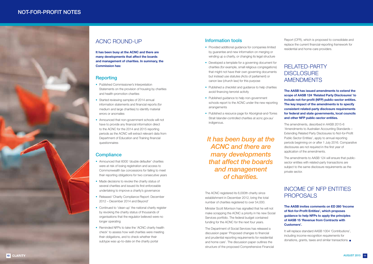### ACNC ROUND-UP

**It has been busy at the ACNC and there are many developments that affect the boards and management of charities. In summary, the Commission has:**

#### **Reporting**

- Published Commissioner's Interpretation Statements on the provision of housing by charities and health-promotion charities
- Started reviewing samples of 2014 annual information statements and financial reports (for medium and large charities) to identify material errors or anomalies
- Announced that non-government schools will not have to provide any financial information direct to the ACNC for the 2014 and 2015 reporting periods as the ACNC will extract relevant data from Department of Education and Training financial questionnaires

#### **Compliance**

- Announced that 6000 'double defaulter' charities were at risk of losing registration and access to Commonwealth tax concessions for failing to meet their reporting obligations for two consecutive years
- Made decisions to revoke the charity status of several charities and issued its first enforceable undertaking to improve a charity's governance
- Released 'Charity Compliance Report: December 2012 – December 2014 and Beyond'
- Continued to 'clean-up' the national charity register by revoking the charity status of thousands of organisations that the regulator believed were no longer operating
- Reminded NFPs to take the 'ACNC charity health check' to assess how well charities were meeting their obligations, and to check whether their subtype was up-to-date on the charity portal
- Provided additional quidance for companies limited by guarantee and new information on merging or winding up a charity, or changing its legal structure
- Developed a template for a governing document for charities (for example, small religious congregations) that might not have their own governing documents but instead use statutes (Acts of parliament) or canon law (church law) for this purpose
- Published a checklist and guidance to help charities avoid financing terrorist activity
- Published guidance to help non-government schools report to the ACNC under the new reporting arrangements
- Published a resource page for Aboriginal-and-Torres Strait Islander-controlled charities at acnc.gov.au/ indigenous.

#### Information tools

It will replace standard AASB 1004 'Contributions', including income-recognition requirements for donations, grants, taxes and similar transactions.

Report (CFR), which is proposed to consolidate and replace the current financial-reporting framework for residential and home-care providers.

### RELATED-PARTY **DISCLOSURE** AMENDMENTS

**The AASB has issued amendments to extend the scope of AASB 124 'Related Party Disclosures' to include not-for-profit (NFP) public-sector entities. The key impact of the amendments is to specify consistent related-party disclosure requirements for federal and state governments, local councils and other NFP public-sector entities.**

The amendments, described in AASB 2015-6 'Amendments to Australian Accounting Standards – Extending Related Party Disclosures to Not-for-Profit Public Sector Entities', apply to annual reporting periods beginning on or after 1 July 2016. Comparative disclosures are not required in the first year of application of the amendments.

The amendments to AASB 124 will ensure that publicsector entities with related-party transactions are subject to the same disclosure requirements as the private sector.

### INCOME OF NFP ENTITIES PROPOSALS

**The AASB invites comments on ED 260 'Income of Not-for-Profit Entities', which proposes guidance to help NFPs to apply the principles of AASB 15 'Revenue from Contracts with Customers'.** 

### NOT-FOR-PROFIT NOTES



*It has been busy at the ACNC and there are many developments that affect the boards and management of charities.*

The ACNC registered its 6,000th charity since establishment in December 2012, bring the total number of charities registered to over 54,000.

Minister Scott Morrison has signalled that he will not make scrapping the ACNC a priority in his new Social Services portfolio. The federal budget contained funding for the ACNC for the next four years.

The Department of Social Services has released a discussion paper 'Proposed changes to financial and prudential reporting requirements for residential and home care'. The discussion paper outlines the structure of the proposed Comprehensive Financial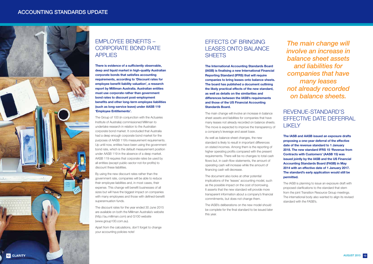### EMPLOYEE BENEFITS – CORPORATE BOND RATE APPLIES

**There is evidence of a sufficiently observable, deep and liquid market in high-quality Australian corporate bonds that satisfies accounting requirements, according to 'Discount rates for employee benefit liability valuation', a research report by Milliman Australia. Australian entities must use corporate rather than government bond rates to discount post-employment benefits and other long-term employee liabilities (such as long-service leave) under AASB 119 'Employee Entitlements'.**

The Group of 100 (in conjunction with the Actuaries Institute of Australia) commissioned Milliman to undertake research in relation to the Australian corporate bond market. It concluded that Australia had a deep enough corporate bond market for the purposes of AASB 119's measurement requirements. Up until now, entities have been using the government bond rate, which is the default measurement position under AASB 119 in the absence of a deep market. AASB 119 requires that corporate rates be used by all entities (except public-sector not-for-profits) to discount these liabilities.

### EFFECTS OF BRINGING LEASES ONTO BALANCE **SHEFTS**

By using the new discount rates rather than the government rate, companies will be able to reduce their employee liabilities and, in most cases, their expense. This change will benefit businesses of all sizes but will have the biggest impact on companies with many employees and those with defined-benefit superannuation funds.

The discount rates for the year ended 30 June 2015 are available on both the Milliman Australia's website (http://au.milliman.com) and G100 website (www.group100.com.au).

Apart from the calculations, don't forget to change your accounting policies note!

**The International Accounting Standards Board (IASB) is finalising a new International Financial Reporting Standard (IFRS) that will require companies to bring leases onto balance sheets. The board has published a document outlining the likely practical effects of the new standard, as well as details on the similarities and differences between the IASB's requirements and those of the US Financial Accounting Standards Board.**

The main change will involve an increase in balance sheet assets and liabilities for companies that have many leases not already recorded on balance sheets. The move is expected to improve the transparency of a company's leverage and asset base.

As well as balance-sheet changes, the new standard is likely to result in important differences on stated incomes. Among them is the reporting of higher operating profits compared with the present requirements. There will be no changes to total cash flows but, in cash-flow statements, the amount of operating cash will increase while the amount of financing cash will decrease.

The document also looks at other potential implications of the 'leases' accounting model, such as the possible impact on the cost of borrowing. It asserts that the new standard will provide more transparent information about a company's financial commitments, but does not change them.

The IASB's deliberations on the new model should be complete for the final standard to be issued later this year.

### REVENUE-STANDARD'S EFFECTIVE DATE DEFERRAL LIKELY

**The IASB and AASB issued an exposure drafts proposing a one-year deferral of the effective date of the revenue standard to 1 January 2018. The new standard IFRS 15 'Revenue from Contracts with Customers' (AASB 15) was issued jointly by the IASB and the US Financial Accounting Standards Board (FASB) in May 2014 with an effective date of 1 January 2017. The standard's early application would still be permitted.**

The IASB is planning to issue an exposure draft with proposed clarifications to the standard that stem from the joint Transition Resource Group meetings. The international body also wanted to align its revised standard with the FASB's.

*The main change will involve an increase in balance sheet assets and liabilities for companies that have many leases not already recorded on balance sheets.*

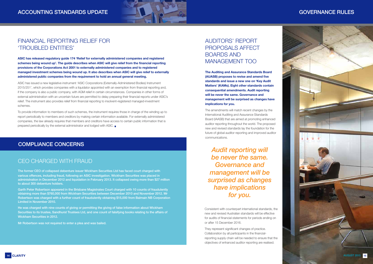### AUDITORS' REPORT PROPOSALS AFFECT BOARDS AND MANAGEMENT TOO

**The Auditing and Assurance Standards Board (AUASB) proposes to revise and amend five standards and issue a new one on 'Key Audit Matters' (KAMs). Eight other standards contain consequential amendments. Audit reporting will be never the same. Governance and management will be surprised as changes have implications for you.**

The amendments will match recent changes by the International Auditing and Assurance Standards Board (IAASB) that are aimed at promoting enhanced auditor reporting throughout the world. The proposed new and revised standards lay the foundation for the future of global auditor reporting and improved auditor communications.

### CEO CHARGED WITH FRAUD

The former CEO of collapsed debenture issuer Wickham Securities Ltd has faced court charged with various offences, including fraud, following an ASIC investigation. Wickham Securities was placed in administration in December 2012 and liquidation in February 2013. It collapsed owing more than \$27 million to about 300 debenture holders.



### FINANCIAL REPORTING RELIEF FOR 'TROUBLED ENTITIES'

Garth Peter Robertson appeared in the Brisbane Magistrates Court charged with 10 counts of fraudulently obtaining more than \$760,000 from Wickham Securities between December 2010 and November 2012. Mr Robertson was charged with a further count of fraudulently obtaining \$15,000 from Balmain NB Corporation Limited in November 2010.

He was charged with nine counts of giving or permitting the giving of false information about Wickham Securities to its trustee, Sandhurst Trustees Ltd, and one count of falsifying books relating to the affairs of Wickham Securities in 2012.

Mr Robertson was not required to enter a plea and was bailed.

### COMPLIANCE CONCERNS

*Audit reporting will be never the same. Governance and management will be surprised as changes have implications for you.*

Consistent with counterpart international standards, the new and revised Australian standards will be effective for audits of financial statements for periods ending on or after 15 December 2016.

They represent significant changes of practice. Collaboration by all participants in the financialreporting supply chain will be needed to ensure that the objectives of enhanced auditor reporting are realised.

**ASIC has released regulatory guide 174 'Relief for externally administered companies and registered schemes being wound up'. The guide describes when ASIC will give relief from the financial reporting provisions of the Corporations Act 2001 to externally administered companies and to registered managed investment schemes being wound up. It also describes when ASIC will give relief to externally administered public companies from the requirement to hold an annual general meeting.**



ASIC has issued a new legislative instrument 'ASIC Corporations (Externally-Administered Bodies) Instrument 2015/251', which provides companies with a liquidator appointed with an exemption from financial reporting and, if the company is also a public company, with AGM relief in certain circumstances. Companies in other forms of external administration with an uncertain future are permitted to delay preparing their financial reports under ASIC's relief. The instrument also provides relief from financial reporting to insolvent-registered managed-investment schemes.

To provide information to members of such schemes, the instrument requires those in charge of the winding up to report periodically to members and creditors by making certain information available. For externally administered companies, the law already requires that members and creditors have access to certain public information that is prepared periodically by the external administrator and lodged with ASIC.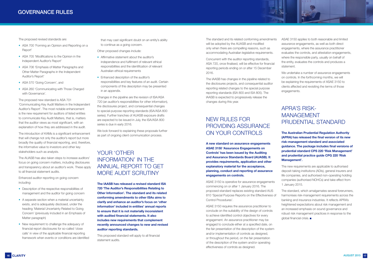The proposed revised standards are:

- ASA 700 'Forming an Opinion and Reporting on a Report'
- ASA 705 'Modifications to the Opinion in the Independent Auditor's Report'
- ASA 706 'Emphasis of Matter Paragraphs and Other Matter Paragraphs in the Independent Auditor's Report'
- ASA 570 'Going Concern', and
- ASA 260 'Communicating with Those Charged with Governance'.

The proposed new standard is ASA 701 'Communicating Key Audit Matters in the Independent Auditor's Report'. The most notable enhancement is the new requirement for auditors of listed entities to communicate Key Audit Matters, that is, matters that the auditor views as most significant, with an explanation of how they are addressed in the audit.

The introduction of KAMs is a significant enhancement that will change not only the auditor's report but more broadly the quality of financial reporting, and, therefore, the informative value to investors and other key stakeholders such as analysts.

The AUASB has also taken steps to increase auditors' focus on going concern matters, including disclosures and transparency about an auditor's work. These apply to all financial statement audits.

Enhanced auditor reporting on going concern including:

- Description of the respective responsibilities of management and the auditor for going concern
- A separate section when a material uncertainty exists, and is adequately disclosed, under the heading 'Material Uncertainty Related to Going Concern' (previously included in an Emphasis of Matter paragraph)
- New requirement to challenge the adequacy of financial report disclosures for so-called 'close calls' in view of the applicable financial reporting framework when events or conditions are identified

that may cast significant doubt on an entity's ability to continue as a going concern.

Other proposed changes include:

- Affirmative statement about the auditor's independence and fulfilment of relevant ethical responsibilities and the identification of relevant Australian ethical requirements
- Enhanced description of the auditor's responsibilities and key features of an audit. Certain components of this description may be presented in an appendix.

Changes in the pipeline are the revision of ISA/ASA 720 (an auditor's responsibilities for other information), the disclosures project, and consequential changes to special-purpose reporting standards (ISA/ASA 800 series). Further tranches of AUASB exposure drafts are expected to be issued in July, the ISA/ASA 800 series is due in early 2016.

We look forward to explaining these proposals further as part of ongoing client communication process.

### YOUR 'OTHER INFORMATION' IN THE ANNUAL REPORT TO GET MORE AUDIT SCRUTINY

**The IAASB has released a revised standard ISA 720 'The Auditor's Responsibilities Relating to Other Information'. The standard and its related conforming amendments to other ISAs aims to clarify and enhance an auditor's focus on 'other information' included in entities' annual reports to ensure that it is not materially inconsistent with audited financial statements. It also includes new requirements that complement recently announced changes to new and revised auditor reporting standards.**

This proposed standard will apply to all financial statement audits.

The standard and its related conforming amendments will be adopted by the AUASB and modified only when there are compelling reasons, such as accommodating Australian legislative requirements.

Concurrent with the auditor reporting standards, ASA 720, once finalised, will be effective for financial reporting periods ending on or after 15 December 2016.

The IAASB has changes in the pipeline related to the disclosures projects, and consequential auditor reporting related changes to the special purpose reporting standards (ISA 800 and ISA 805). The IAASB is expected to progressively release the changes during this year.

### NEW RULES FOR PROVIDING ASSURANCE ON YOUR CONTROLS

**A new standard on assurance engagements ASAE 3150 'Assurance Engagements on Controls' has been issued by the Auditing and Assurance Standards Board (AUASB). It provides requirements, application and other explanatory material for the acceptance, planning, conduct and reporting of assurance engagements on controls.**

ASAE 3150 is operative for assurance engagements commencing on or after 1 January 2016. The proposed standard replaces existing standard AUS 810 'Special Purpose Reports on the Effectiveness of Control Procedures'.

ASAE 3150 requires the assurance practitioner to conclude on the suitability of the design of controls to achieve identified control objectives for every engagement. An assurance practitioner may be engaged to conclude either at a specified date, on the fair presentation of the description of the system and/or implementation of controls as designed, or throughout the period, on the fair presentation of the description of the system and/or operating effectiveness of controls as designed.



ASAE 3150 applies to both reasonable and limited assurance engagements, as well as both direct engagements, where the assurance practitioner evaluates the controls, and attestation engagements, where the responsible party, usually on behalf of the entity, evaluates the controls and produces a statement.

We undertake a number of assurance engagements on controls. In the forthcoming months, we will be explaining the requirements of ASAE 3150 to clients affected and revisiting the terms of those engagements.

### APRA'S RISK-MANAGEMENT PRUDENTIAL STANDARD

**The Australian Prudential Regulation Authority (APRA) has released the final version of its new risk-management standard and associated guidance. The package includes final versions of prudential standard CPS 220 'Risk Management' and prudential practice guide CPG 220 'Risk Management'.**

The new requirements are applicable to authorised deposit-taking institutions (ADIs), general insurers and life companies, and authorised non-operating holding companies (authorised NOHCs) and take effect from 1 January 2015.

The standard, which amalgamates several forerunners, harmonises risk-management requirements across the banking and insurance industries. It reflects APRA's heightened expectations about risk management and an increased emphasis on sound governance and robust risk management practices in response to the global financial crisis.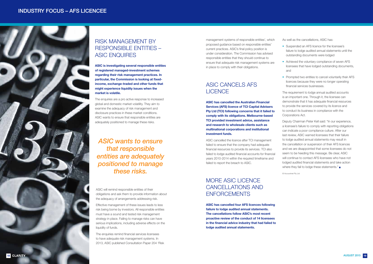### RISK MANAGEMENT BY RESPONSIBLE ENTITIES – ASIC ENQUIRES

**ASIC is investigating several responsible entities of registered managed-investment schemes regarding their risk management practices. In particular, the Commission is looking at fixedincome, exchange-traded and other funds that might experience liquidity issues when the market is volatile.**

The enquiries are a pro active response to increased global and domestic market volatility. They aim to examine the adequacy of risk management and disclosure practices in these market conditions. ASIC wants to ensure that responsible entities are adequately positioned to manage these risks.

### MORE ASIC LICENCE CANCELLATIONS AND **ENFORCEMENTS**

management systems of responsible entities', which proposed guidance based on responsible entities' current practices. ASIC's final policy position is under consideration. The Commission has advised responsible entities that they should continue to ensure that adequate risk management systems are in place to comply with their obligations.

### ASIC CANCELS AFS LICENCE

**ASIC has cancelled the Australian Financial Services (AFS) licence of TCI Capital Advisers Pty Ltd (TCI) following concerns that it failed to comply with its obligations. Melbourne-based TCI provided investment advice, assistance and research to wholesale clients such as multinational corporations and institutional investment funds.**

Deputy Chairman Peter Kell said: "In our experience, a licensee's failure to comply with reporting obligations can indicate a poor compliance culture. After our last review, ASIC warned licensees that their failure to lodge audited annual statements may result in the cancellation or suspension of their AFS licences and we are disappointed that some licensees do not seem to be heeding this message. Be clear, ASIC will continue to contact AFS licensees who have not lodged audited financial statements and take action where they fail to lodge these statements."

ASIC cancelled the licence after TCI management failed to ensure that the company had adequate financial resources to provide its services. TCI also failed to lodge audited financial accounts for financial years 2010-2014 within the required timeframe and failed to report the breach to ASIC.

**ASIC has cancelled four AFS licences following failure to lodge audited annual statements. The cancellations follow ASIC's most recent proactive review of the conduct of 14 licensees in the financial advice industry that had failed to lodge audited annual statements.**

As well as the cancellations, ASIC has:

- Suspended an AFS licence for the licensee's failure to lodge audited annual statements until the outstanding documents were lodged
- Achieved the voluntary compliance of seven AFS licensees that have lodged outstanding documents, and
- Prompted two entities to cancel voluntarily their AFS licences because they were no longer operating financial services businesses.

The requirement to lodge annual audited accounts is an important one. Through it, the licensee can demonstrate that it has adequate financial resources to provide the services covered by its licence and to conduct its business in compliance with the Corporations Act.

© Accountnet Pty Ltd



## *ASIC wants to ensure that responsible entities are adequately positioned to manage these risks.*

ASIC will remind responsible entities of their obligations and ask them to provide information about the adequacy of arrangements addressing risk.

Effective management of these issues leads to less risk being borne by investors. All responsible entities must have a sound and tested risk management strategy in place. Failing to manage risks can have serious implications, including adverse effects on the liquidity of funds.

The enquiries remind financial services licensees to have adequate risk management systems. In 2013, ASIC published Consultation Paper 204 'Risk